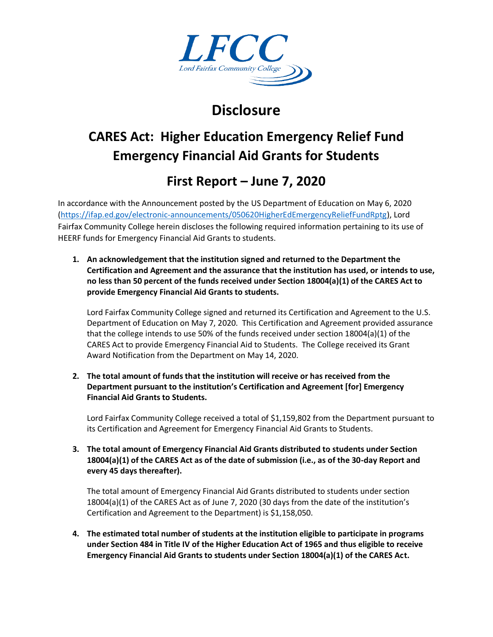

## **Disclosure**

# **CARES Act: Higher Education Emergency Relief Fund Emergency Financial Aid Grants for Students**

### **First Report – June 7, 2020**

In accordance with the Announcement posted by the US Department of Education on May 6, 2020 [\(https://ifap.ed.gov/electronic-announcements/050620HigherEdEmergencyReliefFundRptg\)](https://ifap.ed.gov/electronic-announcements/050620HigherEdEmergencyReliefFundRptg), Lord Fairfax Community College herein discloses the following required information pertaining to its use of HEERF funds for Emergency Financial Aid Grants to students.

**1. An acknowledgement that the institution signed and returned to the Department the Certification and Agreement and the assurance that the institution has used, or intends to use, no less than 50 percent of the funds received under Section 18004(a)(1) of the CARES Act to provide Emergency Financial Aid Grants to students.**

Lord Fairfax Community College signed and returned its Certification and Agreement to the U.S. Department of Education on May 7, 2020. This Certification and Agreement provided assurance that the college intends to use 50% of the funds received under section 18004(a)(1) of the CARES Act to provide Emergency Financial Aid to Students. The College received its Grant Award Notification from the Department on May 14, 2020.

**2. The total amount of funds that the institution will receive or has received from the Department pursuant to the institution's Certification and Agreement [for] Emergency Financial Aid Grants to Students.**

Lord Fairfax Community College received a total of \$1,159,802 from the Department pursuant to its Certification and Agreement for Emergency Financial Aid Grants to Students.

**3. The total amount of Emergency Financial Aid Grants distributed to students under Section 18004(a)(1) of the CARES Act as of the date of submission (i.e., as of the 30-day Report and every 45 days thereafter).**

The total amount of Emergency Financial Aid Grants distributed to students under section 18004(a)(1) of the CARES Act as of June 7, 2020 (30 days from the date of the institution's Certification and Agreement to the Department) is \$1,158,050.

**4. The estimated total number of students at the institution eligible to participate in programs under Section 484 in Title IV of the Higher Education Act of 1965 and thus eligible to receive Emergency Financial Aid Grants to students under Section 18004(a)(1) of the CARES Act.**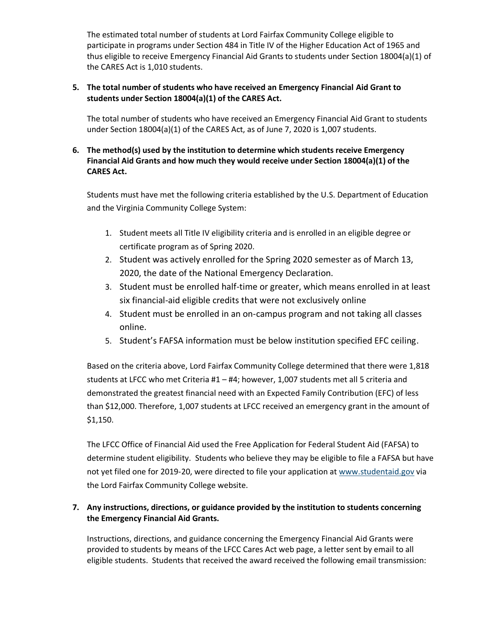The estimated total number of students at Lord Fairfax Community College eligible to participate in programs under Section 484 in Title IV of the Higher Education Act of 1965 and thus eligible to receive Emergency Financial Aid Grants to students under Section 18004(a)(1) of the CARES Act is 1,010 students.

#### **5. The total number of students who have received an Emergency Financial Aid Grant to students under Section 18004(a)(1) of the CARES Act.**

The total number of students who have received an Emergency Financial Aid Grant to students under Section 18004(a)(1) of the CARES Act, as of June 7, 2020 is 1,007 students.

### **6. The method(s) used by the institution to determine which students receive Emergency Financial Aid Grants and how much they would receive under Section 18004(a)(1) of the CARES Act.**

Students must have met the following criteria established by the U.S. Department of Education and the Virginia Community College System:

- 1. Student meets all Title IV eligibility criteria and is enrolled in an eligible degree or certificate program as of Spring 2020.
- 2. Student was actively enrolled for the Spring 2020 semester as of March 13, 2020, the date of the National Emergency Declaration.
- 3. Student must be enrolled half-time or greater, which means enrolled in at least six financial-aid eligible credits that were not exclusively online
- 4. Student must be enrolled in an on-campus program and not taking all classes online.
- 5. Student's FAFSA information must be below institution specified EFC ceiling.

Based on the criteria above, Lord Fairfax Community College determined that there were 1,818 students at LFCC who met Criteria #1 – #4; however, 1,007 students met all 5 criteria and demonstrated the greatest financial need with an Expected Family Contribution (EFC) of less than \$12,000. Therefore, 1,007 students at LFCC received an emergency grant in the amount of \$1,150.

The LFCC Office of Financial Aid used the Free Application for Federal Student Aid (FAFSA) to determine student eligibility. Students who believe they may be eligible to file a FAFSA but have not yet filed one for 2019-20, were directed to file your application at [www.studentaid.gov](https://lfcc.edu/financial-aid/cares-higher-education-emergency-relief-fund-heerf/www.studentaid.gov) via the Lord Fairfax Community College website.

### **7. Any instructions, directions, or guidance provided by the institution to students concerning the Emergency Financial Aid Grants.**

Instructions, directions, and guidance concerning the Emergency Financial Aid Grants were provided to students by means of the LFCC Cares Act web page, a letter sent by email to all eligible students. Students that received the award received the following email transmission: